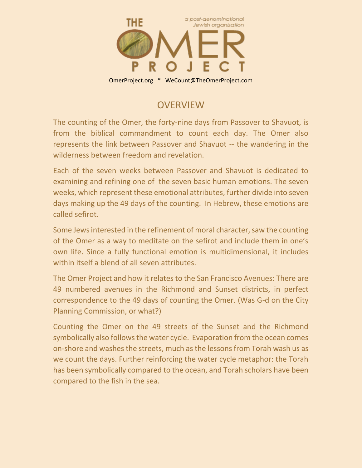

## **OVERVIEW**

The counting of the Omer, the forty-nine days from Passover to Shavuot, is from the biblical commandment to count each day. The Omer also represents the link between Passover and Shavuot -- the wandering in the wilderness between freedom and revelation.

Each of the seven weeks between Passover and Shavuot is dedicated to examining and refining one of the seven basic human emotions. The seven weeks, which represent these emotional attributes, further divide into seven days making up the 49 days of the counting. In Hebrew, these emotions are called sefirot.

Some Jews interested in the refinement of moral character, saw the counting of the Omer as a way to meditate on the sefirot and include them in one's own life. Since a fully functional emotion is multidimensional, it includes within itself a blend of all seven attributes.

The Omer Project and how it relates to the San Francisco Avenues: There are 49 numbered avenues in the Richmond and Sunset districts, in perfect correspondence to the 49 days of counting the Omer. (Was G-d on the City Planning Commission, or what?)

Counting the Omer on the 49 streets of the Sunset and the Richmond symbolically also follows the water cycle. Evaporation from the ocean comes on-shore and washes the streets, much as the lessons from Torah wash us as we count the days. Further reinforcing the water cycle metaphor: the Torah has been symbolically compared to the ocean, and Torah scholars have been compared to the fish in the sea.